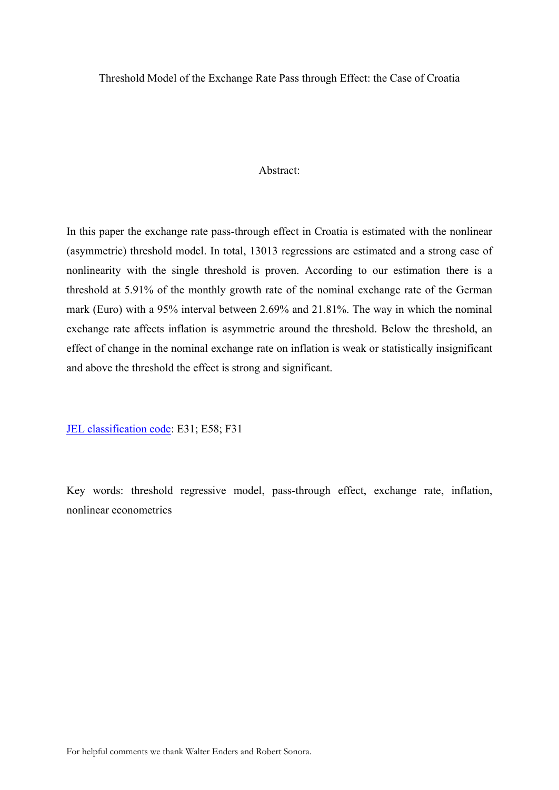Threshold Model of the Exchange Rate Pass through Effect: the Case of Croatia

#### Abstract:

In this paper the exchange rate pass-through effect in Croatia is estimated with the nonlinear (asymmetric) threshold model. In total, 13013 regressions are estimated and a strong case of nonlinearity with the single threshold is proven. According to our estimation there is a threshold at 5.91% of the monthly growth rate of the nominal exchange rate of the German mark (Euro) with a 95% interval between 2.69% and 21.81%. The way in which the nominal exchange rate affects inflation is asymmetric around the threshold. Below the threshold, an effect of change in the nominal exchange rate on inflation is weak or statistically insignificant and above the threshold the effect is strong and significant.

JEL classification code: E31; E58; F31

Key words: threshold regressive model, pass-through effect, exchange rate, inflation, nonlinear econometrics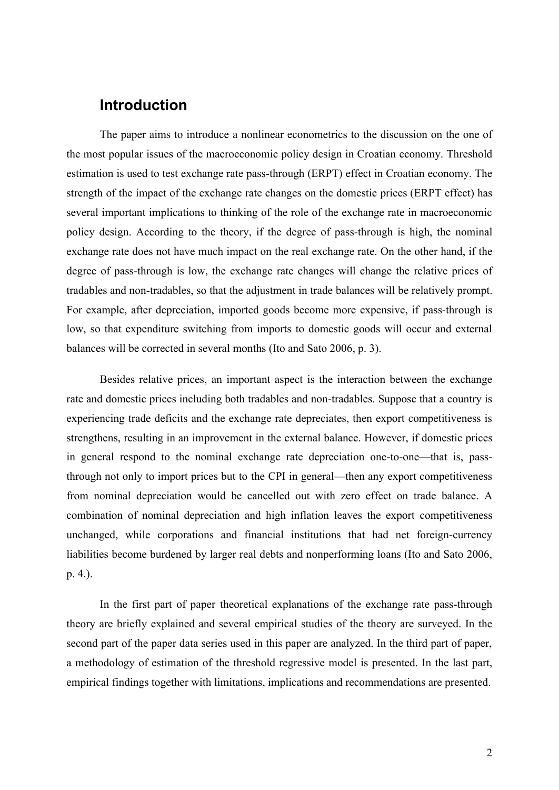## **Introduction**

The paper aims to introduce a nonlinear econometrics to the discussion on the one of the most popular issues of the macroeconomic policy design in Croatian economy. Threshold estimation is used to test exchange rate pass-through (ERPT) effect in Croatian economy. The strength of the impact of the exchange rate changes on the domestic prices (ERPT effect) has several important implications to thinking of the role of the exchange rate in macroeconomic policy design. According to the theory, if the degree of pass-through is high, the nominal exchange rate does not have much impact on the real exchange rate. On the other hand, if the degree of pass-through is low, the exchange rate changes will change the relative prices of tradables and non-tradables, so that the adjustment in trade balances will be relatively prompt. For example, after depreciation, imported goods become more expensive, if pass-through is low, so that expenditure switching from imports to domestic goods will occur and external balances will be corrected in several months (Ito and Sato 2006, p. 3).

Besides relative prices, an important aspect is the interaction between the exchange rate and domestic prices including both tradables and non-tradables. Suppose that a country is experiencing trade deficits and the exchange rate depreciates, then export competitiveness is strengthens, resulting in an improvement in the external balance. However, if domestic prices in general respond to the nominal exchange rate depreciation one-to-one—that is, passthrough not only to import prices but to the CPI in general—then any export competitiveness from nominal depreciation would be cancelled out with zero effect on trade balance. A combination of nominal depreciation and high inflation leaves the export competitiveness unchanged, while corporations and financial institutions that had net foreign-currency liabilities become burdened by larger real debts and nonperforming loans (Ito and Sato 2006, p. 4.).

In the first part of paper theoretical explanations of the exchange rate pass-through theory are briefly explained and several empirical studies of the theory are surveyed. In the second part of the paper data series used in this paper are analyzed. In the third part of paper, a methodology of estimation of the threshold regressive model is presented. In the last part, empirical findings together with limitations, implications and recommendations are presented.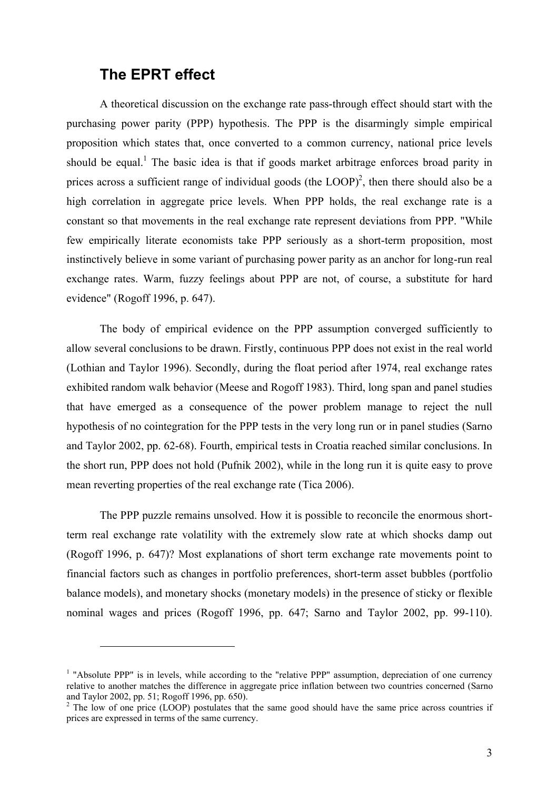## **The EPRT effect**

 $\overline{a}$ 

A theoretical discussion on the exchange rate pass-through effect should start with the purchasing power parity (PPP) hypothesis. The PPP is the disarmingly simple empirical proposition which states that, once converted to a common currency, national price levels should be equal.<sup>1</sup> The basic idea is that if goods market arbitrage enforces broad parity in prices across a sufficient range of individual goods (the  $LOOP$ )<sup>2</sup>, then there should also be a high correlation in aggregate price levels. When PPP holds, the real exchange rate is a constant so that movements in the real exchange rate represent deviations from PPP. "While few empirically literate economists take PPP seriously as a short-term proposition, most instinctively believe in some variant of purchasing power parity as an anchor for long-run real exchange rates. Warm, fuzzy feelings about PPP are not, of course, a substitute for hard evidence" (Rogoff 1996, p. 647).

The body of empirical evidence on the PPP assumption converged sufficiently to allow several conclusions to be drawn. Firstly, continuous PPP does not exist in the real world (Lothian and Taylor 1996). Secondly, during the float period after 1974, real exchange rates exhibited random walk behavior (Meese and Rogoff 1983). Third, long span and panel studies that have emerged as a consequence of the power problem manage to reject the null hypothesis of no cointegration for the PPP tests in the very long run or in panel studies (Sarno and Taylor 2002, pp. 62-68). Fourth, empirical tests in Croatia reached similar conclusions. In the short run, PPP does not hold (Pufnik 2002), while in the long run it is quite easy to prove mean reverting properties of the real exchange rate (Tica 2006).

The PPP puzzle remains unsolved. How it is possible to reconcile the enormous shortterm real exchange rate volatility with the extremely slow rate at which shocks damp out (Rogoff 1996, p. 647)? Most explanations of short term exchange rate movements point to financial factors such as changes in portfolio preferences, short-term asset bubbles (portfolio balance models), and monetary shocks (monetary models) in the presence of sticky or flexible nominal wages and prices (Rogoff 1996, pp. 647; Sarno and Taylor 2002, pp. 99-110).

<sup>&</sup>lt;sup>1</sup> "Absolute PPP" is in levels, while according to the "relative PPP" assumption, depreciation of one currency relative to another matches the difference in aggregate price inflation between two countries concerned (Sarno and Taylor 2002, pp. 51; Rogoff 1996, pp. 650).

<sup>&</sup>lt;sup>2</sup> The low of one price (LOOP) postulates that the same good should have the same price across countries if prices are expressed in terms of the same currency.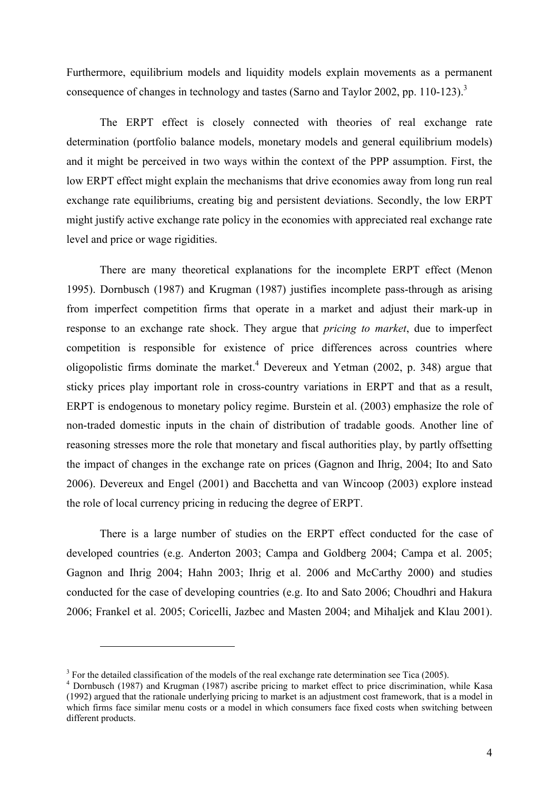Furthermore, equilibrium models and liquidity models explain movements as a permanent consequence of changes in technology and tastes (Sarno and Taylor 2002, pp. 110-123).<sup>3</sup>

The ERPT effect is closely connected with theories of real exchange rate determination (portfolio balance models, monetary models and general equilibrium models) and it might be perceived in two ways within the context of the PPP assumption. First, the low ERPT effect might explain the mechanisms that drive economies away from long run real exchange rate equilibriums, creating big and persistent deviations. Secondly, the low ERPT might justify active exchange rate policy in the economies with appreciated real exchange rate level and price or wage rigidities.

There are many theoretical explanations for the incomplete ERPT effect (Menon 1995). Dornbusch (1987) and Krugman (1987) justifies incomplete pass-through as arising from imperfect competition firms that operate in a market and adjust their mark-up in response to an exchange rate shock. They argue that *pricing to market*, due to imperfect competition is responsible for existence of price differences across countries where oligopolistic firms dominate the market. <sup>4</sup> Devereux and Yetman (2002, p. 348) argue that sticky prices play important role in cross-country variations in ERPT and that as a result, ERPT is endogenous to monetary policy regime. Burstein et al. (2003) emphasize the role of non-traded domestic inputs in the chain of distribution of tradable goods. Another line of reasoning stresses more the role that monetary and fiscal authorities play, by partly offsetting the impact of changes in the exchange rate on prices (Gagnon and Ihrig, 2004; Ito and Sato 2006). Devereux and Engel (2001) and Bacchetta and van Wincoop (2003) explore instead the role of local currency pricing in reducing the degree of ERPT.

There is a large number of studies on the ERPT effect conducted for the case of developed countries (e.g. Anderton 2003; Campa and Goldberg 2004; Campa et al. 2005; Gagnon and Ihrig 2004; Hahn 2003; Ihrig et al. 2006 and McCarthy 2000) and studies conducted for the case of developing countries (e.g. Ito and Sato 2006; Choudhri and Hakura 2006; Frankel et al. 2005; Coricelli, Jazbec and Masten 2004; and Mihaljek and Klau 2001).

 $\overline{a}$ 

 $3$  For the detailed classification of the models of the real exchange rate determination see Tica (2005).

<sup>&</sup>lt;sup>4</sup> Dornbusch (1987) and Krugman (1987) ascribe pricing to market effect to price discrimination, while Kasa (1992) argued that the rationale underlying pricing to market is an adjustment cost framework, that is a model in which firms face similar menu costs or a model in which consumers face fixed costs when switching between different products.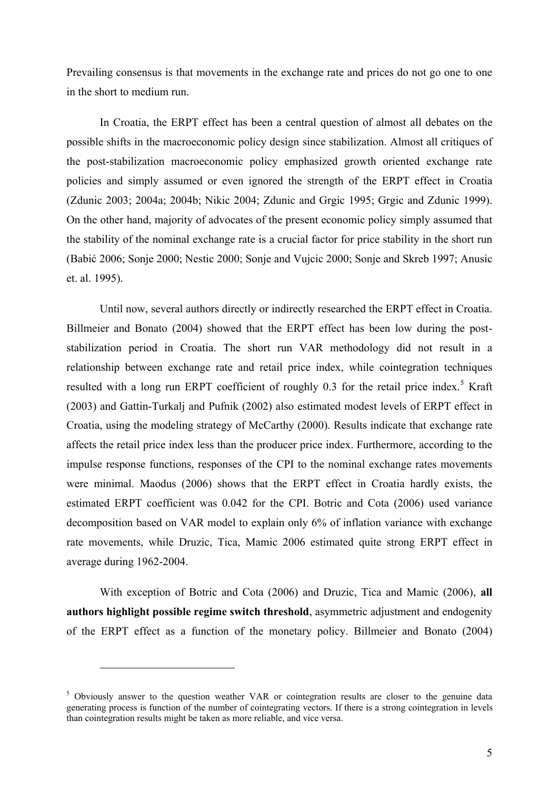Prevailing consensus is that movements in the exchange rate and prices do not go one to one in the short to medium run.

In Croatia, the ERPT effect has been a central question of almost all debates on the possible shifts in the macroeconomic policy design since stabilization. Almost all critiques of the post-stabilization macroeconomic policy emphasized growth oriented exchange rate policies and simply assumed or even ignored the strength of the ERPT effect in Croatia (Zdunic 2003; 2004a; 2004b; Nikic 2004; Zdunic and Grgic 1995; Grgic and Zdunic 1999). On the other hand, majority of advocates of the present economic policy simply assumed that the stability of the nominal exchange rate is a crucial factor for price stability in the short run (Babić 2006; Sonje 2000; Nestic 2000; Sonje and Vujcic 2000; Sonje and Skreb 1997; Anusic et. al. 1995).

Until now, several authors directly or indirectly researched the ERPT effect in Croatia. Billmeier and Bonato (2004) showed that the ERPT effect has been low during the poststabilization period in Croatia. The short run VAR methodology did not result in a relationship between exchange rate and retail price index, while cointegration techniques resulted with a long run ERPT coefficient of roughly 0.3 for the retail price index.<sup>5</sup> Kraft (2003) and Gattin-Turkalj and Pufnik (2002) also estimated modest levels of ERPT effect in Croatia, using the modeling strategy of McCarthy (2000). Results indicate that exchange rate affects the retail price index less than the producer price index. Furthermore, according to the impulse response functions, responses of the CPI to the nominal exchange rates movements were minimal. Maodus (2006) shows that the ERPT effect in Croatia hardly exists, the estimated ERPT coefficient was 0.042 for the CPI. Botric and Cota (2006) used variance decomposition based on VAR model to explain only 6% of inflation variance with exchange rate movements, while Druzic, Tica, Mamic 2006 estimated quite strong ERPT effect in average during 1962-2004.

With exception of Botric and Cota (2006) and Druzic, Tica and Mamic (2006), **all authors highlight possible regime switch threshold**, asymmetric adjustment and endogenity of the ERPT effect as a function of the monetary policy. Billmeier and Bonato (2004)

 $\overline{a}$ 

<sup>&</sup>lt;sup>5</sup> Obviously answer to the question weather VAR or cointegration results are closer to the genuine data generating process is function of the number of cointegrating vectors. If there is a strong cointegration in levels than cointegration results might be taken as more reliable, and vice versa.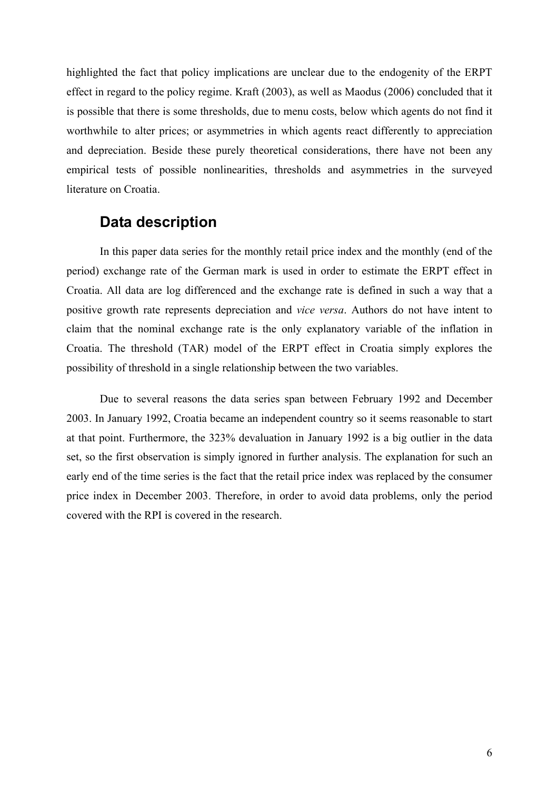highlighted the fact that policy implications are unclear due to the endogenity of the ERPT effect in regard to the policy regime. Kraft (2003), as well as Maodus (2006) concluded that it is possible that there is some thresholds, due to menu costs, below which agents do not find it worthwhile to alter prices; or asymmetries in which agents react differently to appreciation and depreciation. Beside these purely theoretical considerations, there have not been any empirical tests of possible nonlinearities, thresholds and asymmetries in the surveyed literature on Croatia.

# **Data description**

In this paper data series for the monthly retail price index and the monthly (end of the period) exchange rate of the German mark is used in order to estimate the ERPT effect in Croatia. All data are log differenced and the exchange rate is defined in such a way that a positive growth rate represents depreciation and *vice versa*. Authors do not have intent to claim that the nominal exchange rate is the only explanatory variable of the inflation in Croatia. The threshold (TAR) model of the ERPT effect in Croatia simply explores the possibility of threshold in a single relationship between the two variables.

Due to several reasons the data series span between February 1992 and December 2003. In January 1992, Croatia became an independent country so it seems reasonable to start at that point. Furthermore, the 323% devaluation in January 1992 is a big outlier in the data set, so the first observation is simply ignored in further analysis. The explanation for such an early end of the time series is the fact that the retail price index was replaced by the consumer price index in December 2003. Therefore, in order to avoid data problems, only the period covered with the RPI is covered in the research.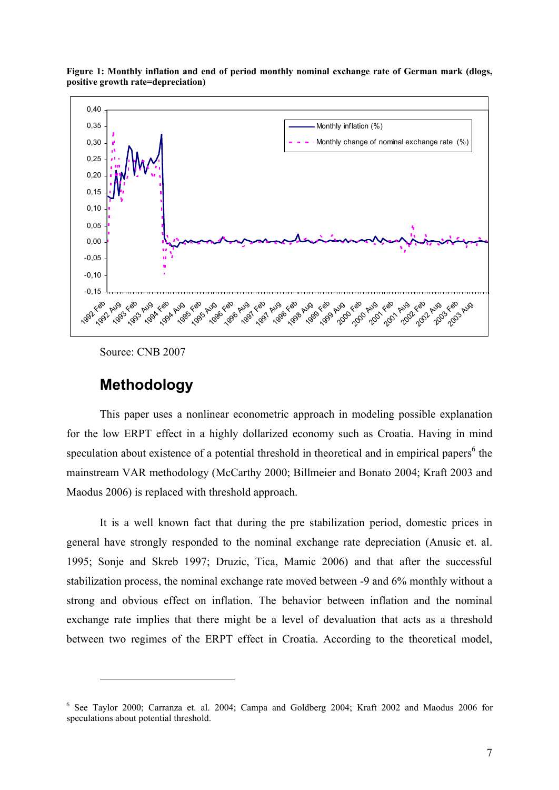

**Figure 1: Monthly inflation and end of period monthly nominal exchange rate of German mark (dlogs, positive growth rate=depreciation)**

Source: CNB 2007

## **Methodology**

 $\overline{a}$ 

This paper uses a nonlinear econometric approach in modeling possible explanation for the low ERPT effect in a highly dollarized economy such as Croatia. Having in mind speculation about existence of a potential threshold in theoretical and in empirical papers<sup>6</sup> the mainstream VAR methodology (McCarthy 2000; Billmeier and Bonato 2004; Kraft 2003 and Maodus 2006) is replaced with threshold approach.

It is a well known fact that during the pre stabilization period, domestic prices in general have strongly responded to the nominal exchange rate depreciation (Anusic et. al. 1995; Sonje and Skreb 1997; Druzic, Tica, Mamic 2006) and that after the successful stabilization process, the nominal exchange rate moved between -9 and 6% monthly without a strong and obvious effect on inflation. The behavior between inflation and the nominal exchange rate implies that there might be a level of devaluation that acts as a threshold between two regimes of the ERPT effect in Croatia. According to the theoretical model,

<sup>6</sup> See Taylor 2000; Carranza et. al. 2004; Campa and Goldberg 2004; Kraft 2002 and Maodus 2006 for speculations about potential threshold.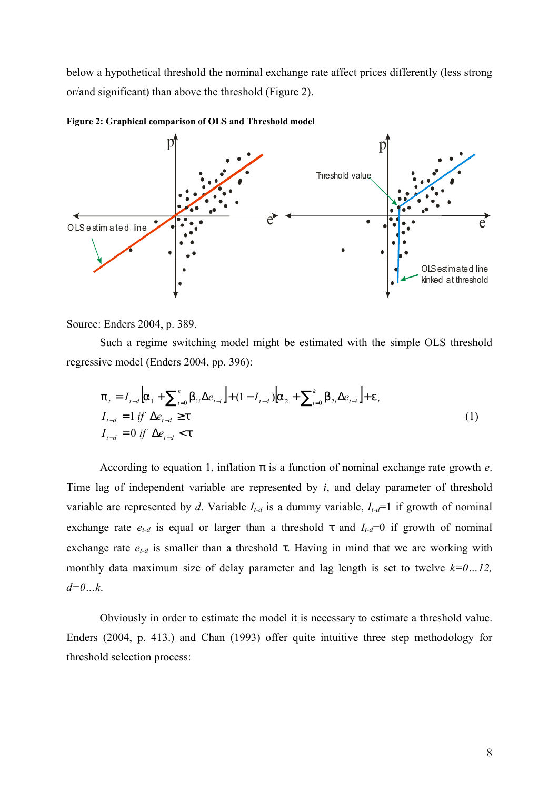below a hypothetical threshold the nominal exchange rate affect prices differently (less strong or/and significant) than above the threshold (Figure 2).



**Figure 2: Graphical comparison of OLS and Threshold model**

Source: Enders 2004, p. 389.

Such a regime switching model might be estimated with the simple OLS threshold regressive model (Enders 2004, pp. 396):

$$
p_{t} = I_{t-d} \left[ a_{1} + \sum_{i=0}^{k} b_{1i} \Delta e_{t-i} \right] + (1 - I_{t-d}) \left[ a_{2} + \sum_{i=0}^{k} b_{2i} \Delta e_{t-i} \right] + e_{t}
$$
  
\n
$$
I_{t-d} = 1 \text{ if } \Delta e_{t-d} \geq t
$$
  
\n
$$
I_{t-d} = 0 \text{ if } \Delta e_{t-d} < t
$$
\n(1)

According to equation 1, inflation *p* is a function of nominal exchange rate growth *e*. Time lag of independent variable are represented by *i*, and delay parameter of threshold variable are represented by *d*. Variable  $I_{t-d}$  is a dummy variable,  $I_{t-d}$ =1 if growth of nominal exchange rate  $e_{t-d}$  is equal or larger than a threshold t and  $I_{t-d}=0$  if growth of nominal exchange rate *et-d* is smaller than a threshold *t*. Having in mind that we are working with monthly data maximum size of delay parameter and lag length is set to twelve *k=0…12, d=0…k*.

Obviously in order to estimate the model it is necessary to estimate a threshold value. Enders (2004, p. 413.) and Chan (1993) offer quite intuitive three step methodology for threshold selection process: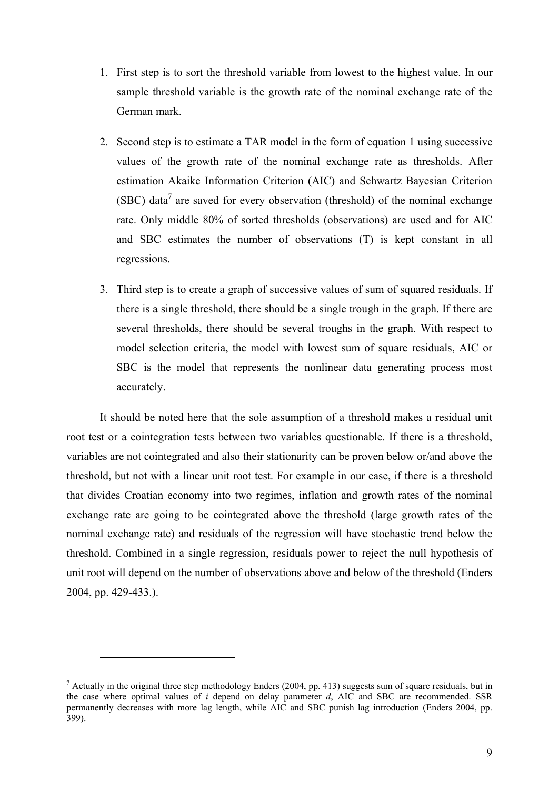- 1. First step is to sort the threshold variable from lowest to the highest value. In our sample threshold variable is the growth rate of the nominal exchange rate of the German mark.
- 2. Second step is to estimate a TAR model in the form of equation 1 using successive values of the growth rate of the nominal exchange rate as thresholds. After estimation Akaike Information Criterion (AIC) and Schwartz Bayesian Criterion (SBC) data<sup>7</sup> are saved for every observation (threshold) of the nominal exchange rate. Only middle 80% of sorted thresholds (observations) are used and for AIC and SBC estimates the number of observations (T) is kept constant in all regressions.
- 3. Third step is to create a graph of successive values of sum of squared residuals. If there is a single threshold, there should be a single trough in the graph. If there are several thresholds, there should be several troughs in the graph. With respect to model selection criteria, the model with lowest sum of square residuals, AIC or SBC is the model that represents the nonlinear data generating process most accurately.

It should be noted here that the sole assumption of a threshold makes a residual unit root test or a cointegration tests between two variables questionable. If there is a threshold, variables are not cointegrated and also their stationarity can be proven below or/and above the threshold, but not with a linear unit root test. For example in our case, if there is a threshold that divides Croatian economy into two regimes, inflation and growth rates of the nominal exchange rate are going to be cointegrated above the threshold (large growth rates of the nominal exchange rate) and residuals of the regression will have stochastic trend below the threshold. Combined in a single regression, residuals power to reject the null hypothesis of unit root will depend on the number of observations above and below of the threshold (Enders 2004, pp. 429-433.).

 $\overline{a}$ 

 $<sup>7</sup>$  Actually in the original three step methodology Enders (2004, pp. 413) suggests sum of square residuals, but in</sup> the case where optimal values of *i* depend on delay parameter *d*, AIC and SBC are recommended. SSR permanently decreases with more lag length, while AIC and SBC punish lag introduction (Enders 2004, pp. 399).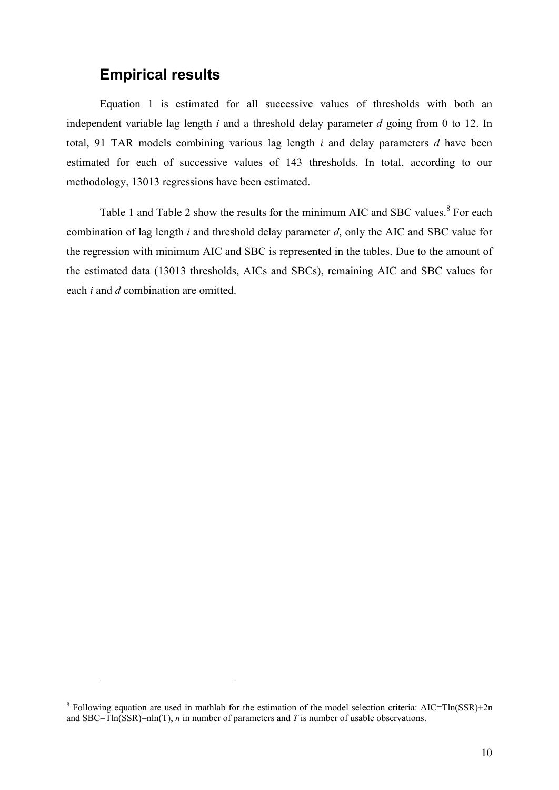# **Empirical results**

 $\overline{a}$ 

Equation 1 is estimated for all successive values of thresholds with both an independent variable lag length *i* and a threshold delay parameter *d* going from 0 to 12. In total, 91 TAR models combining various lag length *i* and delay parameters *d* have been estimated for each of successive values of 143 thresholds. In total, according to our methodology, 13013 regressions have been estimated.

Table 1 and Table 2 show the results for the minimum AIC and SBC values.<sup>8</sup> For each combination of lag length *i* and threshold delay parameter *d*, only the AIC and SBC value for the regression with minimum AIC and SBC is represented in the tables. Due to the amount of the estimated data (13013 thresholds, AICs and SBCs), remaining AIC and SBC values for each *i* and *d* combination are omitted.

<sup>&</sup>lt;sup>8</sup> Following equation are used in mathlab for the estimation of the model selection criteria: AIC=Tln(SSR)+2n and SBC=Tln(SSR)=nln(T), *n* in number of parameters and *T* is number of usable observations.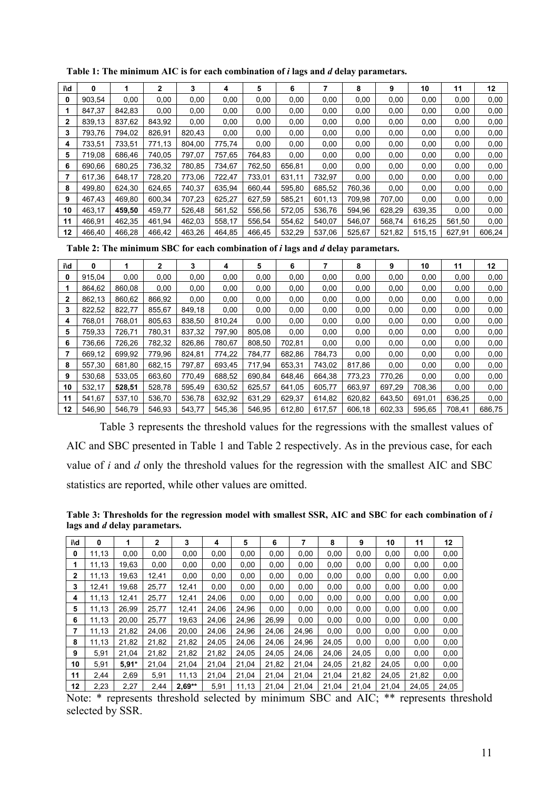| i\d | 0      |        | 2      | 3      | 4      | 5      | 6      |        | 8      | 9      | 10     | 11     | 12     |
|-----|--------|--------|--------|--------|--------|--------|--------|--------|--------|--------|--------|--------|--------|
| 0   | 903.54 | 0,00   | 0,00   | 0,00   | 0,00   | 0,00   | 0,00   | 0,00   | 0,00   | 0,00   | 0,00   | 0,00   | 0,00   |
|     | 847.37 | 842.83 | 0,00   | 0,00   | 0,00   | 0.00   | 0.00   | 0.00   | 0,00   | 0,00   | 0,00   | 0,00   | 0,00   |
| 2   | 839.13 | 837.62 | 843.92 | 0,00   | 0,00   | 0,00   | 0,00   | 0,00   | 0,00   | 0,00   | 0,00   | 0,00   | 0,00   |
| 3   | 793.76 | 794,02 | 826,91 | 820,43 | 0,00   | 0,00   | 0,00   | 0,00   | 0,00   | 0,00   | 0,00   | 0,00   | 0,00   |
| 4   | 733.51 | 733.51 | 771.13 | 804.00 | 775.74 | 0.00   | 0,00   | 0,00   | 0,00   | 0,00   | 0,00   | 0,00   | 0,00   |
| 5   | 719.08 | 686.46 | 740,05 | 797,07 | 757.65 | 764.83 | 0,00   | 0,00   | 0,00   | 0,00   | 0,00   | 0,00   | 0,00   |
| 6   | 690,66 | 680,25 | 736,32 | 780,85 | 734,67 | 762,50 | 656,81 | 0,00   | 0,00   | 0,00   | 0,00   | 0,00   | 0,00   |
|     | 617.36 | 648.17 | 728,20 | 773.06 | 722.47 | 733.01 | 631.11 | 732.97 | 0,00   | 0,00   | 0,00   | 0,00   | 0,00   |
| 8   | 499.80 | 624.30 | 624,65 | 740,37 | 635.94 | 660.44 | 595,80 | 685.52 | 760,36 | 0,00   | 0,00   | 0,00   | 0,00   |
| 9   | 467.43 | 469,80 | 600,34 | 707,23 | 625,27 | 627,59 | 585,21 | 601,13 | 709.98 | 707,00 | 0,00   | 0,00   | 0,00   |
| 10  | 463.17 | 459.50 | 459.77 | 526,48 | 561,52 | 556.56 | 572.05 | 536.76 | 594.96 | 628.29 | 639.35 | 0,00   | 0,00   |
| 11  | 466.91 | 462,35 | 461.94 | 462,03 | 558.17 | 556.54 | 554,62 | 540.07 | 546,07 | 568.74 | 616.25 | 561,50 | 0,00   |
| 12  | 466.40 | 466.28 | 466.42 | 463.26 | 464.85 | 466.45 | 532.29 | 537.06 | 525.67 | 521.82 | 515,15 | 627.91 | 606.24 |

**Table 1: The minimum AIC is for each combination of** *i* **lags and** *d* **delay parametars.**

**Table 2: The minimum SBC for each combination of** *i* **lags and** *d* **delay parametars.**

| i\d | 0      |        | $\overline{2}$ | 3      | 4      | 5      | 6      |        | 8      | 9      | 10     | 11     | 12     |
|-----|--------|--------|----------------|--------|--------|--------|--------|--------|--------|--------|--------|--------|--------|
| 0   | 915.04 | 0,00   | 0,00           | 0,00   | 0,00   | 0,00   | 0,00   | 0,00   | 0,00   | 0,00   | 0,00   | 0,00   | 0,00   |
|     | 864.62 | 860.08 | 0.00           | 0,00   | 0,00   | 0,00   | 0,00   | 0,00   | 0,00   | 0,00   | 0,00   | 0,00   | 0,00   |
| 2   | 862,13 | 860.62 | 866.92         | 0.00   | 0.00   | 0.00   | 0.00   | 0,00   | 0,00   | 0.00   | 0,00   | 0,00   | 0,00   |
| 3   | 822,52 | 822.77 | 855.67         | 849.18 | 0,00   | 0,00   | 0,00   | 0,00   | 0,00   | 0,00   | 0,00   | 0,00   | 0,00   |
| 4   | 768.01 | 768.01 | 805.63         | 838.50 | 810.24 | 0.00   | 0,00   | 0,00   | 0,00   | 0,00   | 0,00   | 0,00   | 0,00   |
| 5   | 759.33 | 726.71 | 780.31         | 837.32 | 797.90 | 805.08 | 0,00   | 0,00   | 0,00   | 0,00   | 0,00   | 0,00   | 0,00   |
| 6   | 736.66 | 726.26 | 782,32         | 826.86 | 780.67 | 808.50 | 702,81 | 0,00   | 0,00   | 0,00   | 0,00   | 0,00   | 0,00   |
|     | 669.12 | 699.92 | 779.96         | 824.81 | 774.22 | 784.77 | 682,86 | 784,73 | 0,00   | 0,00   | 0,00   | 0,00   | 0,00   |
| 8   | 557.30 | 681.80 | 682.15         | 797.87 | 693.45 | 717.94 | 653,31 | 743,02 | 817.86 | 0.00   | 0,00   | 0,00   | 0,00   |
| 9   | 530.68 | 533.05 | 663.60         | 770.49 | 688.52 | 690.84 | 648.46 | 664,38 | 773.23 | 770.26 | 0,00   | 0,00   | 0,00   |
| 10  | 532.17 | 528.51 | 528.78         | 595.49 | 630.52 | 625.57 | 641.05 | 605.77 | 663.97 | 697.29 | 708.36 | 0,00   | 0,00   |
| 11  | 541.67 | 537.10 | 536.70         | 536,78 | 632,92 | 631.29 | 629,37 | 614,82 | 620,82 | 643,50 | 691,01 | 636,25 | 0,00   |
| 12  | 546.90 | 546.79 | 546.93         | 543.77 | 545.36 | 546.95 | 612.80 | 617,57 | 606,18 | 602,33 | 595.65 | 708.41 | 686,75 |

Table 3 represents the threshold values for the regressions with the smallest values of AIC and SBC presented in Table 1 and Table 2 respectively. As in the previous case, for each value of *i* and *d* only the threshold values for the regression with the smallest AIC and SBC statistics are reported, while other values are omitted.

**Table 3: Thresholds for the regression model with smallest SSR, AIC and SBC for each combination of** *i*  **lags and** *d* **delay parametars.**

| i\d          | 0     | 1       | $\overline{2}$ | 3        | 4     | 5     | 6     |       | 8     | 9     | 10    | 11    | 12    |
|--------------|-------|---------|----------------|----------|-------|-------|-------|-------|-------|-------|-------|-------|-------|
| 0            | 11,13 | 0.00    | 0.00           | 0,00     | 0,00  | 0.00  | 0,00  | 0,00  | 0,00  | 0,00  | 0,00  | 0,00  | 0,00  |
| 1            | 11.13 | 19.63   | 0,00           | 0,00     | 0,00  | 0,00  | 0,00  | 0,00  | 0,00  | 0,00  | 0,00  | 0,00  | 0,00  |
| $\mathbf{2}$ | 11,13 | 19,63   | 12,41          | 0,00     | 0,00  | 0.00  | 0,00  | 0,00  | 0,00  | 0,00  | 0,00  | 0,00  | 0,00  |
| 3            | 12,41 | 19,68   | 25,77          | 12,41    | 0,00  | 0,00  | 0,00  | 0,00  | 0,00  | 0,00  | 0,00  | 0,00  | 0,00  |
| 4            | 11,13 | 12.41   | 25,77          | 12,41    | 24,06 | 0.00  | 0,00  | 0,00  | 0,00  | 0,00  | 0,00  | 0,00  | 0,00  |
| 5            | 11.13 | 26.99   | 25.77          | 12.41    | 24.06 | 24.96 | 0.00  | 0.00  | 0,00  | 0.00  | 0.00  | 0.00  | 0,00  |
| 6            | 11,13 | 20.00   | 25.77          | 19,63    | 24,06 | 24.96 | 26,99 | 0,00  | 0,00  | 0,00  | 0,00  | 0,00  | 0,00  |
| 7            | 11.13 | 21.82   | 24.06          | 20.00    | 24.06 | 24.96 | 24.06 | 24.96 | 0.00  | 0,00  | 0.00  | 0.00  | 0,00  |
| 8            | 11,13 | 21,82   | 21,82          | 21,82    | 24,05 | 24,06 | 24,06 | 24,96 | 24,05 | 0,00  | 0,00  | 0,00  | 0,00  |
| 9            | 5,91  | 21,04   | 21,82          | 21,82    | 21,82 | 24,05 | 24,05 | 24,06 | 24,06 | 24,05 | 0,00  | 0,00  | 0,00  |
| 10           | 5,91  | $5.91*$ | 21.04          | 21,04    | 21.04 | 21.04 | 21,82 | 21,04 | 24,05 | 21,82 | 24.05 | 0,00  | 0,00  |
| 11           | 2,44  | 2.69    | 5,91           | 11.13    | 21.04 | 21.04 | 21.04 | 21,04 | 21.04 | 21,82 | 24.05 | 21,82 | 0,00  |
| 12           | 2,23  | 2,27    | 2.44           | $2,69**$ | 5,91  | 11.13 | 21.04 | 21.04 | 21,04 | 21.04 | 21.04 | 24.05 | 24,05 |

Note: \* represents threshold selected by minimum SBC and AIC; \*\* represents threshold selected by SSR.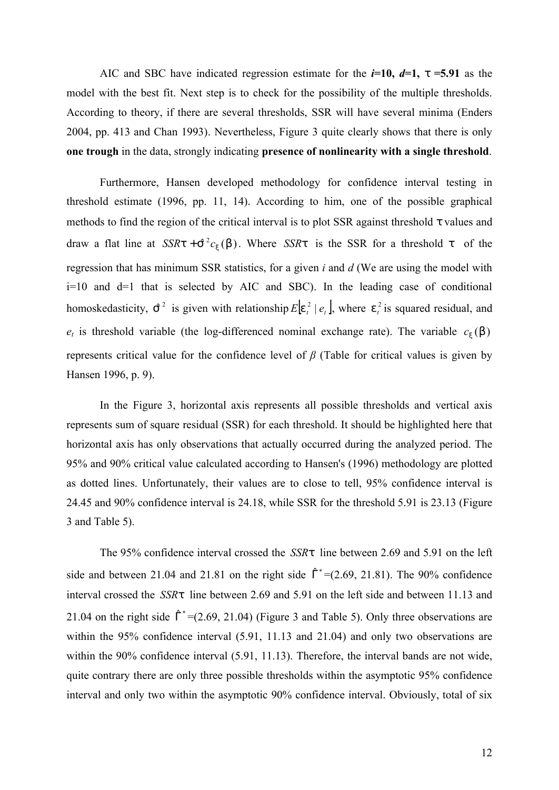AIC and SBC have indicated regression estimate for the  $i=10$ ,  $d=1$ ,  $t=5.91$  as the model with the best fit. Next step is to check for the possibility of the multiple thresholds. According to theory, if there are several thresholds, SSR will have several minima (Enders 2004, pp. 413 and Chan 1993). Nevertheless, Figure 3 quite clearly shows that there is only **one trough** in the data, strongly indicating **presence of nonlinearity with a single threshold**.

Furthermore, Hansen developed methodology for confidence interval testing in threshold estimate (1996, pp. 11, 14). According to him, one of the possible graphical methods to find the region of the critical interval is to plot SSR against threshold *t* values and draw a flat line at  $SSRt + S^2c_x(b)$ . Where *SSR*<sup>t</sup> is the SSR for a threshold *t* of the regression that has minimum SSR statistics, for a given *i* and *d* (We are using the model with i=10 and d=1 that is selected by AIC and SBC). In the leading case of conditional homoskedasticity,  $\hat{S}^2$  is given with relationship  $E | e^2_i | e^2_i |$ , where  $e^2_i$  is squared residual, and  $e_t$  is threshold variable (the log-differenced nominal exchange rate). The variable  $c_x(b)$ represents critical value for the confidence level of *β* (Table for critical values is given by Hansen 1996, p. 9).

In the Figure 3, horizontal axis represents all possible thresholds and vertical axis represents sum of square residual (SSR) for each threshold. It should be highlighted here that horizontal axis has only observations that actually occurred during the analyzed period. The 95% and 90% critical value calculated according to Hansen's (1996) methodology are plotted as dotted lines. Unfortunately, their values are to close to tell, 95% confidence interval is 24.45 and 90% confidence interval is 24.18, while SSR for the threshold 5.91 is 23.13 (Figure 3 and Table 5).

The 95% confidence interval crossed the *SSRt* line between 2.69 and 5.91 on the left side and between 21.04 and 21.81 on the right side  $\hat{\Gamma}^* = (2.69, 21.81)$ . The 90% confidence interval crossed the *SSRt* line between 2.69 and 5.91 on the left side and between 11.13 and 21.04 on the right side  $\hat{\Gamma}^*$  =(2.69, 21.04) (Figure 3 and Table 5). Only three observations are within the 95% confidence interval (5.91, 11.13 and 21.04) and only two observations are within the 90% confidence interval (5.91, 11.13). Therefore, the interval bands are not wide, quite contrary there are only three possible thresholds within the asymptotic 95% confidence interval and only two within the asymptotic 90% confidence interval. Obviously, total of six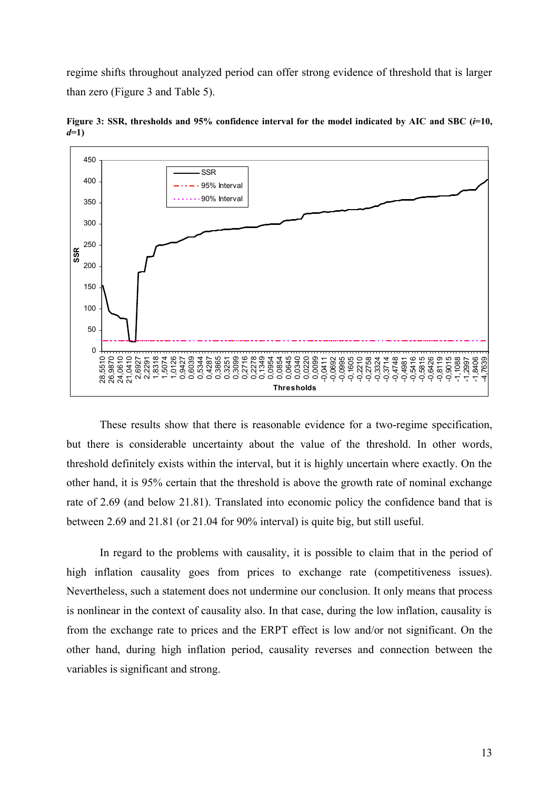regime shifts throughout analyzed period can offer strong evidence of threshold that is larger than zero (Figure 3 and Table 5).



**Figure 3: SSR, thresholds and 95% confidence interval for the model indicated by AIC and SBC (***i***=10,**  *d***=1)**

These results show that there is reasonable evidence for a two-regime specification, but there is considerable uncertainty about the value of the threshold. In other words, threshold definitely exists within the interval, but it is highly uncertain where exactly. On the other hand, it is 95% certain that the threshold is above the growth rate of nominal exchange rate of 2.69 (and below 21.81). Translated into economic policy the confidence band that is between 2.69 and 21.81 (or 21.04 for 90% interval) is quite big, but still useful.

In regard to the problems with causality, it is possible to claim that in the period of high inflation causality goes from prices to exchange rate (competitiveness issues). Nevertheless, such a statement does not undermine our conclusion. It only means that process is nonlinear in the context of causality also. In that case, during the low inflation, causality is from the exchange rate to prices and the ERPT effect is low and/or not significant. On the other hand, during high inflation period, causality reverses and connection between the variables is significant and strong.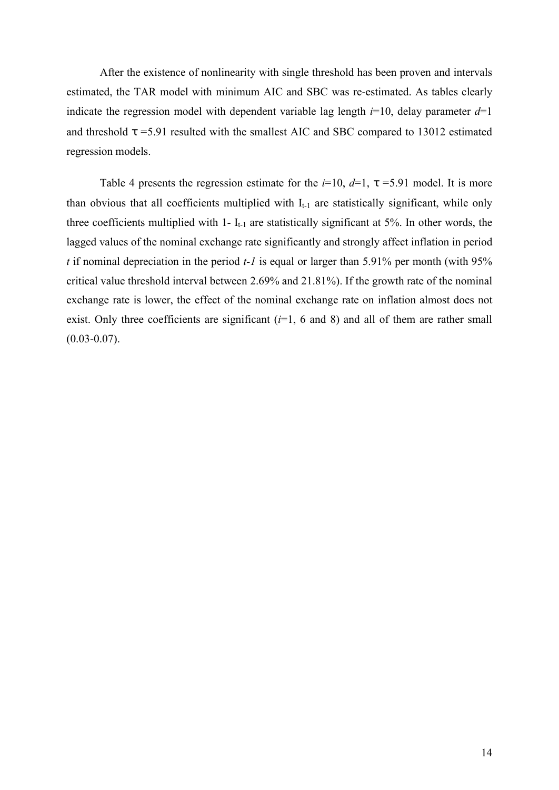After the existence of nonlinearity with single threshold has been proven and intervals estimated, the TAR model with minimum AIC and SBC was re-estimated. As tables clearly indicate the regression model with dependent variable lag length  $i=10$ , delay parameter  $d=1$ and threshold *t =*5.91 resulted with the smallest AIC and SBC compared to 13012 estimated regression models.

Table 4 presents the regression estimate for the  $i=10$ ,  $d=1$ ,  $t=5.91$  model. It is more than obvious that all coefficients multiplied with  $I_{t-1}$  are statistically significant, while only three coefficients multiplied with 1-  $I_{t-1}$  are statistically significant at 5%. In other words, the lagged values of the nominal exchange rate significantly and strongly affect inflation in period *t* if nominal depreciation in the period *t-1* is equal or larger than 5.91% per month (with 95% critical value threshold interval between 2.69% and 21.81%). If the growth rate of the nominal exchange rate is lower, the effect of the nominal exchange rate on inflation almost does not exist. Only three coefficients are significant  $(i=1, 6$  and 8) and all of them are rather small  $(0.03 - 0.07)$ .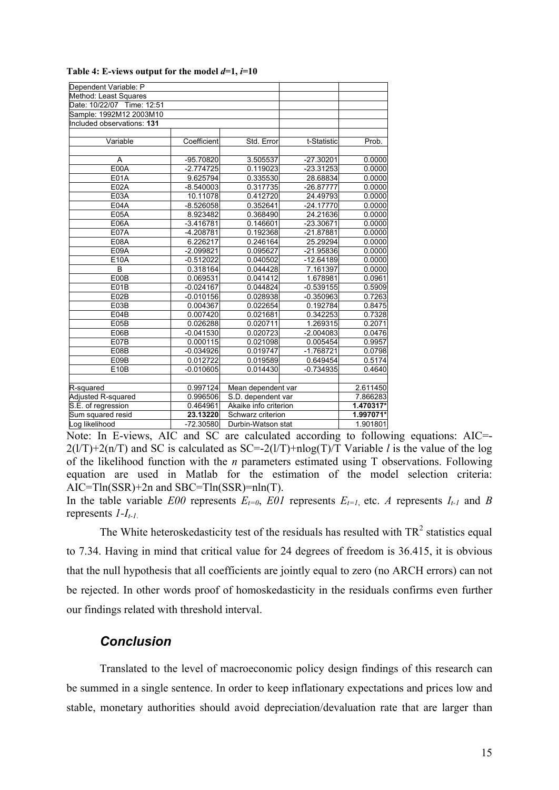| Dependent Variable: P      |             |                       |             |           |
|----------------------------|-------------|-----------------------|-------------|-----------|
| Method: Least Squares      |             |                       |             |           |
| Date: 10/22/07 Time: 12:51 |             |                       |             |           |
| Sample: 1992M12 2003M10    |             |                       |             |           |
| Included observations: 131 |             |                       |             |           |
|                            |             |                       |             |           |
| Variable                   | Coefficient | Std. Error            | t-Statistic | Prob.     |
|                            |             |                       |             |           |
| A                          | -95.70820   | 3.505537              | $-27.30201$ | 0.0000    |
| E00A                       | $-2.774725$ | 0.119023              | -23.31253   | 0.0000    |
| E01A                       | 9.625794    | 0.335530              | 28.68834    | 0.0000    |
| <b>E02A</b>                | $-8.540003$ | 0.317735              | -26.87777   | 0.0000    |
| E03A                       | 10.11078    | 0.412720              | 24.49793    | 0.0000    |
| E04A                       | $-8.526058$ | 0.352641              | $-24.17770$ | 0.0000    |
| <b>E05A</b>                | 8.923482    | 0.368490              | 24.21636    | 0.0000    |
| E06A                       | $-3.416781$ | 0.146601              | -23.30671   | 0.0000    |
| <b>E07A</b>                | -4.208781   | 0.192368              | -21.87881   | 0.0000    |
| <b>E08A</b>                | 6.226217    | 0.246164              | 25.29294    | 0.0000    |
| E09A                       | $-2.099821$ | 0.095627              | -21.95836   | 0.0000    |
| E10A                       | $-0.512022$ | 0.040502              | $-12.64189$ | 0.0000    |
| B                          | 0.318164    | 0.044428              | 7.161397    | 0.0000    |
| E00B                       | 0.069531    | 0.041412              | 1.678981    | 0.0961    |
| E01B                       | $-0.024167$ | 0.044824              | $-0.539155$ | 0.5909    |
| E02B                       | $-0.010156$ | 0.028938              | $-0.350963$ | 0.7263    |
| E03B                       | 0.004367    | 0.022654              | 0.192784    | 0.8475    |
| E04B                       | 0.007420    | 0.021681              | 0.342253    | 0.7328    |
| E05B                       | 0.026288    | 0.020711              | 1.269315    | 0.2071    |
| E06B                       | $-0.041530$ | 0.020723              | $-2.004083$ | 0.0476    |
| E07B                       | 0.000115    | 0.021098              | 0.005454    | 0.9957    |
| E08B                       | $-0.034926$ | 0.019747              | $-1.768721$ | 0.0798    |
| E09B                       | 0.012722    | 0.019589              | 0.649454    | 0.5174    |
| E10B                       | $-0.010605$ | 0.014430              | $-0.734935$ | 0.4640    |
|                            |             |                       |             |           |
| R-squared                  | 0.997124    | Mean dependent var    |             | 2.611450  |
| Adjusted R-squared         | 0.996506    | S.D. dependent var    |             | 7.866283  |
| S.E. of regression         | 0.464961    | Akaike info criterion |             | 1.470317* |
| Sum squared resid          | 23.13220    | Schwarz criterion     |             | 1.997071* |
| Log likelihood             | $-72.30580$ | Durbin-Watson stat    |             | 1.901801  |

| Table 4: E-views output for the model $d=1$ , $i=10$ |  |  |
|------------------------------------------------------|--|--|
|------------------------------------------------------|--|--|

Note: In E-views, AIC and SC are calculated according to following equations: AIC=- 2(l/T)+2(n/T) and SC is calculated as SC=-2(l/T)+nlog(T)/T Variable *l* is the value of the log of the likelihood function with the *n* parameters estimated using T observations. Following equation are used in Matlab for the estimation of the model selection criteria: AIC=Tln(SSR)+2n and SBC=Tln(SSR)=nln(T).

In the table variable *E00* represents  $E_{t=0}$ , *E01* represents  $E_{t=1}$ , etc. *A* represents  $I_{t-1}$  and *B* represents *1-It-1*.

The White heteroskedasticity test of the residuals has resulted with  $TR<sup>2</sup>$  statistics equal to 7.34. Having in mind that critical value for 24 degrees of freedom is 36.415, it is obvious that the null hypothesis that all coefficients are jointly equal to zero (no ARCH errors) can not be rejected. In other words proof of homoskedasticity in the residuals confirms even further our findings related with threshold interval.

#### *Conclusion*

Translated to the level of macroeconomic policy design findings of this research can be summed in a single sentence. In order to keep inflationary expectations and prices low and stable, monetary authorities should avoid depreciation/devaluation rate that are larger than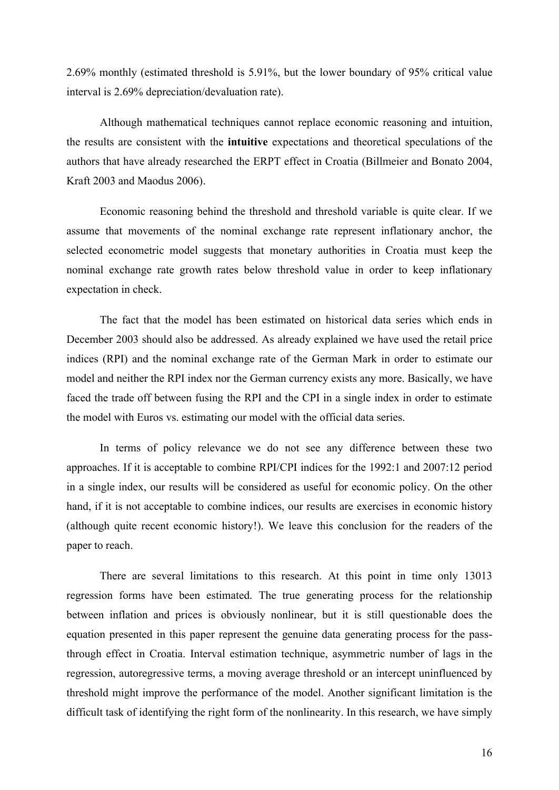2.69% monthly (estimated threshold is 5.91%, but the lower boundary of 95% critical value interval is 2.69% depreciation/devaluation rate).

Although mathematical techniques cannot replace economic reasoning and intuition, the results are consistent with the **intuitive** expectations and theoretical speculations of the authors that have already researched the ERPT effect in Croatia (Billmeier and Bonato 2004, Kraft 2003 and Maodus 2006).

Economic reasoning behind the threshold and threshold variable is quite clear. If we assume that movements of the nominal exchange rate represent inflationary anchor, the selected econometric model suggests that monetary authorities in Croatia must keep the nominal exchange rate growth rates below threshold value in order to keep inflationary expectation in check.

The fact that the model has been estimated on historical data series which ends in December 2003 should also be addressed. As already explained we have used the retail price indices (RPI) and the nominal exchange rate of the German Mark in order to estimate our model and neither the RPI index nor the German currency exists any more. Basically, we have faced the trade off between fusing the RPI and the CPI in a single index in order to estimate the model with Euros vs. estimating our model with the official data series.

In terms of policy relevance we do not see any difference between these two approaches. If it is acceptable to combine RPI/CPI indices for the 1992:1 and 2007:12 period in a single index, our results will be considered as useful for economic policy. On the other hand, if it is not acceptable to combine indices, our results are exercises in economic history (although quite recent economic history!). We leave this conclusion for the readers of the paper to reach.

There are several limitations to this research. At this point in time only 13013 regression forms have been estimated. The true generating process for the relationship between inflation and prices is obviously nonlinear, but it is still questionable does the equation presented in this paper represent the genuine data generating process for the passthrough effect in Croatia. Interval estimation technique, asymmetric number of lags in the regression, autoregressive terms, a moving average threshold or an intercept uninfluenced by threshold might improve the performance of the model. Another significant limitation is the difficult task of identifying the right form of the nonlinearity. In this research, we have simply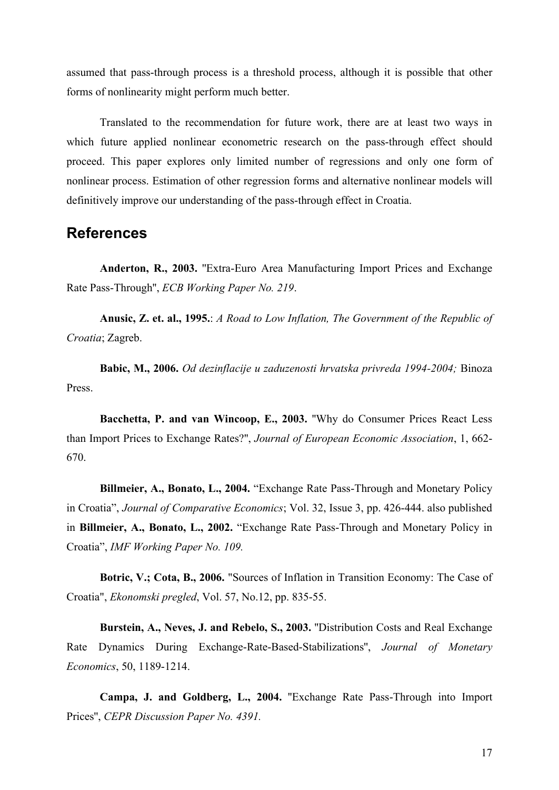assumed that pass-through process is a threshold process, although it is possible that other forms of nonlinearity might perform much better.

Translated to the recommendation for future work, there are at least two ways in which future applied nonlinear econometric research on the pass-through effect should proceed. This paper explores only limited number of regressions and only one form of nonlinear process. Estimation of other regression forms and alternative nonlinear models will definitively improve our understanding of the pass-through effect in Croatia.

# **References**

**Anderton, R., 2003.** ''Extra-Euro Area Manufacturing Import Prices and Exchange Rate Pass-Through'', *ECB Working Paper No. 219*.

**Anusic, Z. et. al., 1995.**: *A Road to Low Inflation, The Government of the Republic of Croatia*; Zagreb.

**Babic, M., 2006.** *Od dezinflacije u zaduzenosti hrvatska privreda 1994-2004;* Binoza Press.

**Bacchetta, P. and van Wincoop, E., 2003.** ''Why do Consumer Prices React Less than Import Prices to Exchange Rates?'', *Journal of European Economic Association*, 1, 662- 670.

**Billmeier, A., Bonato, L., 2004.** "Exchange Rate Pass-Through and Monetary Policy in Croatia", *Journal of Comparative Economics*; Vol. 32, Issue 3, pp. 426-444. also published in **Billmeier, A., Bonato, L., 2002.** "Exchange Rate Pass-Through and Monetary Policy in Croatia", *IMF Working Paper No. 109.*

**Botric, V.; Cota, B., 2006.** "Sources of Inflation in Transition Economy: The Case of Croatia", *Ekonomski pregled*, Vol. 57, No.12, pp. 835-55.

**Burstein, A., Neves, J. and Rebelo, S., 2003.** ''Distribution Costs and Real Exchange Rate Dynamics During Exchange-Rate-Based-Stabilizations'', *Journal of Monetary Economics*, 50, 1189-1214.

**Campa, J. and Goldberg, L., 2004.** ''Exchange Rate Pass-Through into Import Prices'', *CEPR Discussion Paper No. 4391.*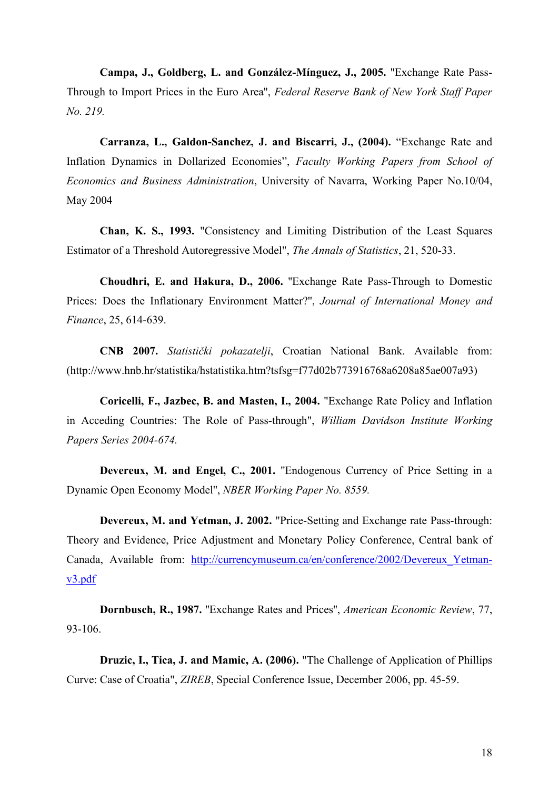**Campa, J., Goldberg, L. and González-Mínguez, J., 2005.** ''Exchange Rate Pass-Through to Import Prices in the Euro Area'', *Federal Reserve Bank of New York Staff Paper No. 219.*

**Carranza, L., Galdon-Sanchez, J. and Biscarri, J., (2004).** "Exchange Rate and Inflation Dynamics in Dollarized Economies", *Faculty Working Papers from School of Economics and Business Administration*, University of Navarra, Working Paper No.10/04, May 2004

**Chan, K. S., 1993.** "Consistency and Limiting Distribution of the Least Squares Estimator of a Threshold Autoregressive Model", *The Annals of Statistics*, 21, 520-33.

**Choudhri, E. and Hakura, D., 2006.** ''Exchange Rate Pass-Through to Domestic Prices: Does the Inflationary Environment Matter?'', *Journal of International Money and Finance*, 25, 614-639.

**CNB 2007.** *Statistički pokazatelji*, Croatian National Bank. Available from: (http://www.hnb.hr/statistika/hstatistika.htm?tsfsg=f77d02b773916768a6208a85ae007a93)

**Coricelli, F., Jazbec, B. and Masten, I., 2004.** "Exchange Rate Policy and Inflation in Acceding Countries: The Role of Pass-through", *William Davidson Institute Working Papers Series 2004-674.*

**Devereux, M. and Engel, C., 2001.** ''Endogenous Currency of Price Setting in a Dynamic Open Economy Model'', *NBER Working Paper No. 8559.*

**Devereux, M. and Yetman, J. 2002.** "Price-Setting and Exchange rate Pass-through: Theory and Evidence, Price Adjustment and Monetary Policy Conference, Central bank of Canada, Available from: http://currencymuseum.ca/en/conference/2002/Devereux\_Yetmanv3.pdf

**Dornbusch, R., 1987.** ''Exchange Rates and Prices'', *American Economic Review*, 77, 93-106.

**Druzic, I., Tica, J. and Mamic, A. (2006).** "The Challenge of Application of Phillips Curve: Case of Croatia", *ZIREB*, Special Conference Issue, December 2006, pp. 45-59.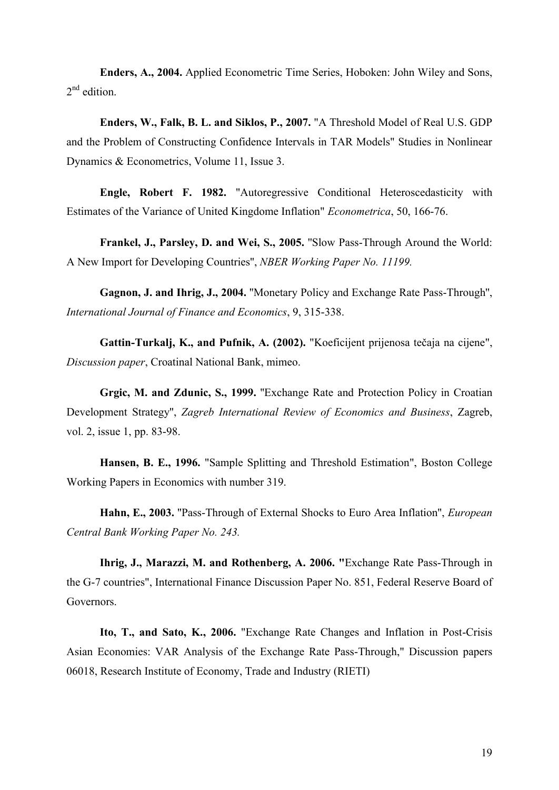**Enders, A., 2004.** Applied Econometric Time Series, Hoboken: John Wiley and Sons, 2<sup>nd</sup> edition.

**Enders, W., Falk, B. L. and Siklos, P., 2007.** "A Threshold Model of Real U.S. GDP and the Problem of Constructing Confidence Intervals in TAR Models" Studies in Nonlinear Dynamics & Econometrics, Volume 11, Issue 3.

**Engle, Robert F. 1982.** "Autoregressive Conditional Heteroscedasticity with Estimates of the Variance of United Kingdome Inflation" *Econometrica*, 50, 166-76.

**Frankel, J., Parsley, D. and Wei, S., 2005.** ''Slow Pass-Through Around the World: A New Import for Developing Countries'', *NBER Working Paper No. 11199.*

**Gagnon, J. and Ihrig, J., 2004.** ''Monetary Policy and Exchange Rate Pass-Through'', *International Journal of Finance and Economics*, 9, 315-338.

**Gattin-Turkalj, K., and Pufnik, A. (2002).** "Koeficijent prijenosa tečaja na cijene", *Discussion paper*, Croatinal National Bank, mimeo.

**Grgic, M. and Zdunic, S., 1999.** ''Exchange Rate and Protection Policy in Croatian Development Strategy'', *Zagreb International Review of Economics and Business*, Zagreb, vol. 2, issue 1, pp. 83-98.

**Hansen, B. E., 1996.** "Sample Splitting and Threshold Estimation", Boston College Working Papers in Economics with number 319.

**Hahn, E., 2003.** ''Pass-Through of External Shocks to Euro Area Inflation'', *European Central Bank Working Paper No. 243.*

**Ihrig, J., Marazzi, M. and Rothenberg, A. 2006. "**Exchange Rate Pass-Through in the G-7 countries", International Finance Discussion Paper No. 851, Federal Reserve Board of Governors.

**Ito, T., and Sato, K., 2006.** "Exchange Rate Changes and Inflation in Post-Crisis Asian Economies: VAR Analysis of the Exchange Rate Pass-Through," Discussion papers 06018, Research Institute of Economy, Trade and Industry (RIETI)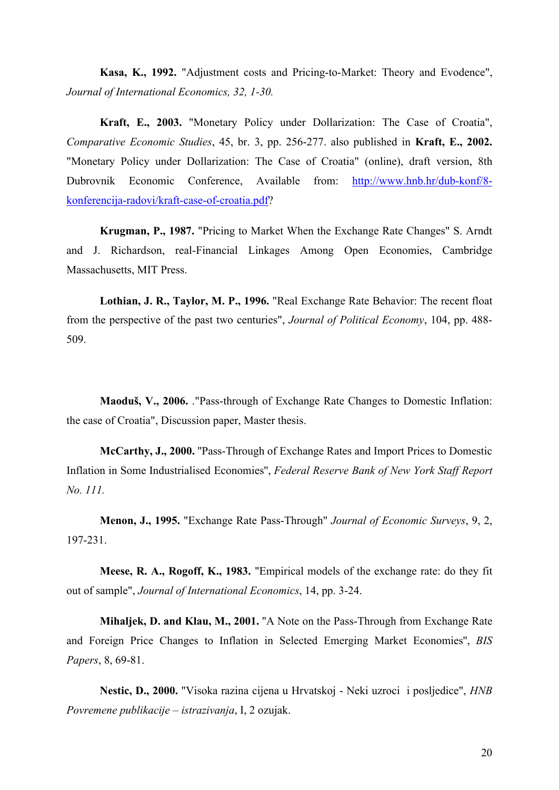**Kasa, K., 1992.** "Adjustment costs and Pricing-to-Market: Theory and Evodence", *Journal of International Economics, 32, 1-30.*

**Kraft, E., 2003.** "Monetary Policy under Dollarization: The Case of Croatia", *Comparative Economic Studies*, 45, br. 3, pp. 256-277. also published in **Kraft, E., 2002.** "Monetary Policy under Dollarization: The Case of Croatia" (online), draft version, 8th Dubrovnik Economic Conference, Available from: http://www.hnb.hr/dub-konf/8 konferencija-radovi/kraft-case-of-croatia.pdf?

**Krugman, P., 1987.** "Pricing to Market When the Exchange Rate Changes" S. Arndt and J. Richardson, real-Financial Linkages Among Open Economies, Cambridge Massachusetts, MIT Press.

**Lothian, J. R., Taylor, M. P., 1996.** "Real Exchange Rate Behavior: The recent float from the perspective of the past two centuries", *Journal of Political Economy*, 104, pp. 488- 509.

**Maoduš, V., 2006.** ."Pass-through of Exchange Rate Changes to Domestic Inflation: the case of Croatia", Discussion paper, Master thesis.

**McCarthy, J., 2000.** ''Pass-Through of Exchange Rates and Import Prices to Domestic Inflation in Some Industrialised Economies'', *Federal Reserve Bank of New York Staff Report No. 111.*

**Menon, J., 1995.** "Exchange Rate Pass-Through" *Journal of Economic Surveys*, 9, 2, 197-231.

**Meese, R. A., Rogoff, K., 1983.** "Empirical models of the exchange rate: do they fit out of sample", *Journal of International Economics*, 14, pp. 3-24.

**Mihaljek, D. and Klau, M., 2001.** ''A Note on the Pass-Through from Exchange Rate and Foreign Price Changes to Inflation in Selected Emerging Market Economies'', *BIS Papers*, 8, 69-81.

**Nestic, D., 2000.** "Visoka razina cijena u Hrvatskoj - Neki uzroci i posljedice", *HNB Povremene publikacije – istrazivanja*, I, 2 ozujak.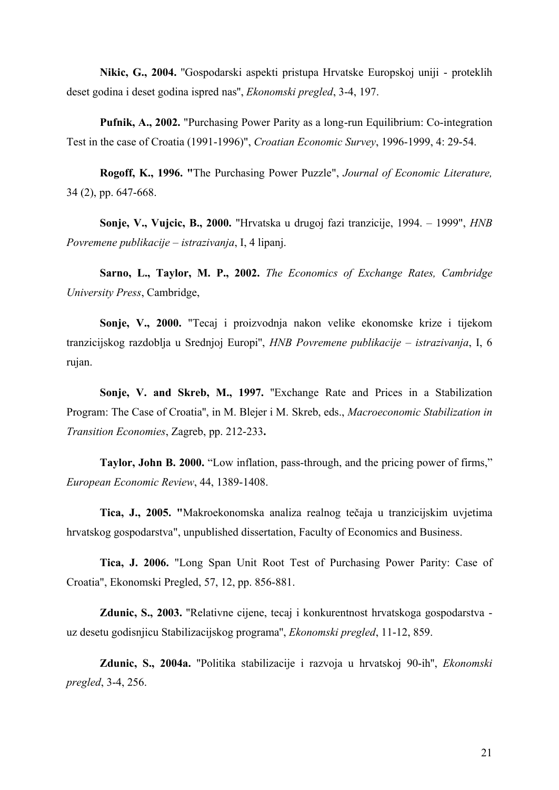**Nikic, G., 2004.** ''Gospodarski aspekti pristupa Hrvatske Europskoj uniji - proteklih deset godina i deset godina ispred nas'', *Ekonomski pregled*, 3-4, 197.

**Pufnik, A., 2002.** "Purchasing Power Parity as a long-run Equilibrium: Co-integration Test in the case of Croatia (1991-1996)", *Croatian Economic Survey*, 1996-1999, 4: 29-54.

**Rogoff, K., 1996. "**The Purchasing Power Puzzle", *Journal of Economic Literature,*  34 (2), pp. 647-668.

**Sonje, V., Vujcic, B., 2000.** "Hrvatska u drugoj fazi tranzicije, 1994. – 1999", *HNB Povremene publikacije – istrazivanja*, I, 4 lipanj.

**Sarno, L., Taylor, M. P., 2002.** *The Economics of Exchange Rates, Cambridge University Press*, Cambridge,

**Sonje, V., 2000.** "Tecaj i proizvodnja nakon velike ekonomske krize i tijekom tranzicijskog razdoblja u Srednjoj Europi'', *HNB Povremene publikacije – istrazivanja*, I, 6 rujan.

**Sonje, V. and Skreb, M., 1997.** ''Exchange Rate and Prices in a Stabilization Program: The Case of Croatia'', in M. Blejer i M. Skreb, eds., *Macroeconomic Stabilization in Transition Economies*, Zagreb, pp. 212-233**.**

**Taylor, John B. 2000.** "Low inflation, pass-through, and the pricing power of firms," *European Economic Review*, 44, 1389-1408.

**Tica, J., 2005. "**Makroekonomska analiza realnog tečaja u tranzicijskim uvjetima hrvatskog gospodarstva", unpublished dissertation, Faculty of Economics and Business.

**Tica, J. 2006.** "Long Span Unit Root Test of Purchasing Power Parity: Case of Croatia", Ekonomski Pregled, 57, 12, pp. 856-881.

**Zdunic, S., 2003.** ''Relativne cijene, tecaj i konkurentnost hrvatskoga gospodarstva uz desetu godisnjicu Stabilizacijskog programa'', *Ekonomski pregled*, 11-12, 859.

**Zdunic, S., 2004a.** ''Politika stabilizacije i razvoja u hrvatskoj 90-ih'', *Ekonomski pregled*, 3-4, 256.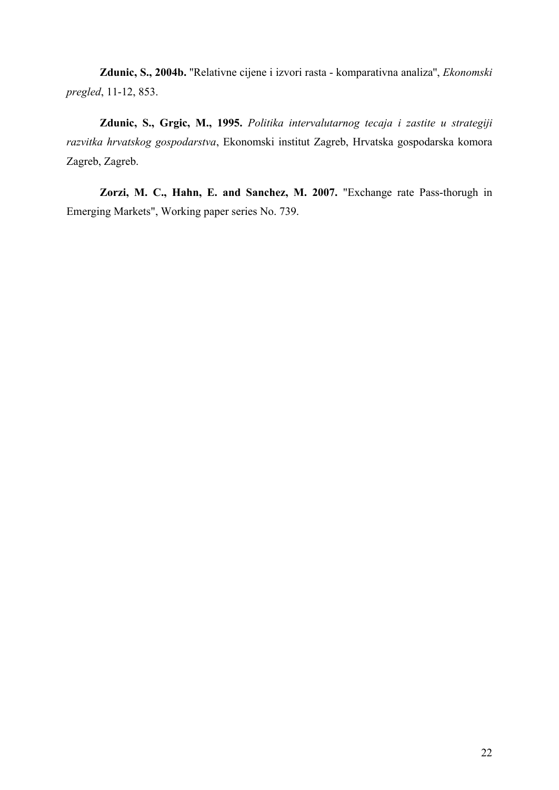**Zdunic, S., 2004b.** ''Relativne cijene i izvori rasta - komparativna analiza'', *Ekonomski pregled*, 11-12, 853.

**Zdunic, S., Grgic, M., 1995.** *Politika intervalutarnog tecaja i zastite u strategiji razvitka hrvatskog gospodarstva*, Ekonomski institut Zagreb, Hrvatska gospodarska komora Zagreb, Zagreb.

**Zorzi, M. C., Hahn, E. and Sanchez, M. 2007.** "Exchange rate Pass-thorugh in Emerging Markets", Working paper series No. 739.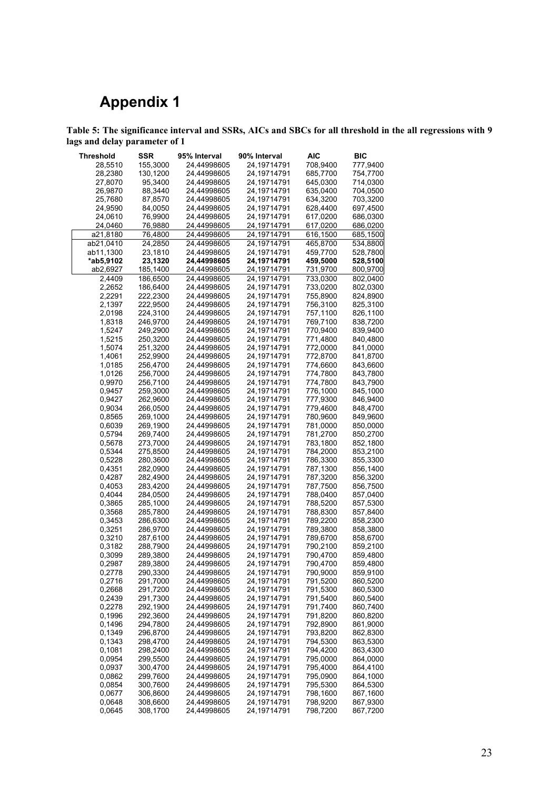# **Appendix 1**

**Table 5: The significance interval and SSRs, AICs and SBCs for all threshold in the all regressions with 9 lags and delay parameter of 1**

| Threshold | SSR      | 95% Interval | 90% Interval               | AIC      | <b>BIC</b> |
|-----------|----------|--------------|----------------------------|----------|------------|
| 28,5510   | 155,3000 | 24,44998605  | 24,19714791                | 708,9400 | 777,9400   |
|           |          |              |                            |          |            |
| 28,2380   | 130,1200 | 24,44998605  | 24,19714791                | 685,7700 | 754,7700   |
| 27,8070   | 95,3400  | 24,44998605  | 24,19714791                | 645,0300 | 714,0300   |
| 26,9870   | 88,3440  | 24,44998605  | 24,19714791                | 635,0400 | 704,0500   |
| 25,7680   | 87,8570  | 24,44998605  | 24,19714791                | 634,3200 | 703,3200   |
| 24,9590   | 84,0050  | 24,44998605  | 24,19714791                | 628,4400 | 697,4500   |
| 24,0610   | 76,9900  | 24,44998605  | 24,19714791                | 617,0200 | 686,0300   |
| 24,0460   | 76,9880  | 24,44998605  | 24,19714791                | 617,0200 | 686,0200   |
| a21,8180  | 76,4800  | 24,44998605  | 24,19714791                | 616,1500 | 685,1500   |
| ab21,0410 | 24,2850  | 24,44998605  | 24,19714791                | 465,8700 | 534,8800   |
| ab11,1300 | 23,1810  | 24,44998605  | 24,19714791                | 459,7700 | 528,7800   |
| *ab5,9102 | 23,1320  | 24,44998605  | 24,19714791                | 459,5000 | 528,5100   |
| ab2,6927  | 185,1400 | 24,44998605  | 24,19714791                | 731,9700 | 800,9700   |
| 2,4409    | 186,6500 | 24,44998605  | 24,19714791                | 733,0300 | 802,0400   |
|           |          |              |                            |          | 802,0300   |
| 2,2652    | 186,6400 | 24,44998605  | 24,19714791                | 733,0200 |            |
| 2,2291    | 222,2300 | 24,44998605  | 24,19714791                | 755,8900 | 824,8900   |
| 2,1397    | 222,9500 | 24,44998605  | 24,19714791                | 756,3100 | 825,3100   |
| 2,0198    | 224,3100 | 24,44998605  | 24,19714791                | 757,1100 | 826,1100   |
| 1,8318    | 246,9700 | 24,44998605  | 24,19714791                | 769,7100 | 838,7200   |
| 1,5247    | 249,2900 | 24,44998605  | 24,19714791                | 770,9400 | 839,9400   |
| 1,5215    | 250,3200 | 24,44998605  | 24,19714791                | 771,4800 | 840,4800   |
| 1,5074    | 251,3200 | 24,44998605  | 24,19714791                | 772,0000 | 841,0000   |
| 1,4061    | 252,9900 | 24,44998605  | 24,19714791                | 772,8700 | 841,8700   |
| 1,0185    | 256,4700 | 24,44998605  | 24,19714791                | 774,6600 | 843,6600   |
| 1,0126    | 256,7000 | 24,44998605  | 24,19714791                | 774,7800 | 843,7800   |
| 0,9970    | 256,7100 | 24,44998605  | 24,19714791                | 774,7800 | 843,7900   |
| 0,9457    | 259,3000 | 24,44998605  | 24,19714791                | 776,1000 | 845,1000   |
| 0,9427    | 262,9600 | 24,44998605  | 24,19714791                | 777,9300 | 846,9400   |
| 0,9034    | 266,0500 | 24,44998605  | 24,19714791                | 779,4600 | 848,4700   |
| 0,8565    | 269,1000 | 24,44998605  | 24,19714791                | 780,9600 | 849,9600   |
|           |          |              |                            |          |            |
| 0,6039    | 269,1900 | 24,44998605  | 24,19714791<br>24,19714791 | 781,0000 | 850,0000   |
| 0,5794    | 269,7400 | 24,44998605  |                            | 781,2700 | 850,2700   |
| 0,5678    | 273,7000 | 24,44998605  | 24,19714791                | 783,1800 | 852,1800   |
| 0,5344    | 275,8500 | 24,44998605  | 24,19714791                | 784,2000 | 853,2100   |
| 0,5228    | 280,3600 | 24,44998605  | 24,19714791                | 786,3300 | 855,3300   |
| 0,4351    | 282,0900 | 24,44998605  | 24,19714791                | 787,1300 | 856,1400   |
| 0,4287    | 282,4900 | 24,44998605  | 24,19714791                | 787,3200 | 856,3200   |
| 0,4053    | 283,4200 | 24,44998605  | 24,19714791                | 787,7500 | 856,7500   |
| 0,4044    | 284,0500 | 24,44998605  | 24,19714791                | 788,0400 | 857,0400   |
| 0,3865    | 285,1000 | 24,44998605  | 24,19714791                | 788,5200 | 857,5300   |
| 0,3568    | 285,7800 | 24,44998605  | 24,19714791                | 788,8300 | 857,8400   |
| 0,3453    | 286,6300 | 24,44998605  | 24,19714791                | 789,2200 | 858,2300   |
| 0,3251    | 286,9700 | 24,44998605  | 24,19714791                | 789,3800 | 858,3800   |
| 0,3210    | 287,6100 | 24,44998605  | 24,19714791                | 789,6700 | 858,6700   |
| 0,3182    | 288,7900 | 24,44998605  | 24,19714791                | 790,2100 | 859,2100   |
| 0,3099    | 289,3800 | 24,44998605  | 24,19714791                | 790,4700 | 859,4800   |
| 0,2987    | 289,3800 | 24,44998605  | 24,19714791                | 790,4700 | 859,4800   |
| 0,2778    | 290,3300 | 24,44998605  | 24,19714791                | 790,9000 | 859,9100   |
| 0,2716    | 291,7000 | 24,44998605  | 24,19714791                | 791,5200 | 860,5200   |
| 0,2668    | 291,7200 | 24,44998605  | 24,19714791                | 791,5300 | 860,5300   |
| 0,2439    | 291,7300 | 24,44998605  | 24,19714791                | 791,5400 | 860,5400   |
| 0,2278    | 292,1900 | 24,44998605  | 24,19714791                | 791,7400 | 860,7400   |
| 0,1996    | 292,3600 | 24,44998605  | 24,19714791                | 791,8200 | 860,8200   |
| 0,1496    | 294,7800 | 24,44998605  | 24,19714791                |          |            |
| 0.1349    |          | 24,44998605  |                            | 792,8900 | 861,9000   |
|           | 296,8700 |              | 24,19714791                | 793,8200 | 862,8300   |
| 0,1343    | 298,4700 | 24,44998605  | 24,19714791                | 794,5300 | 863,5300   |
| 0,1081    | 298,2400 | 24,44998605  | 24,19714791                | 794,4200 | 863,4300   |
| 0,0954    | 299,5500 | 24,44998605  | 24,19714791                | 795,0000 | 864,0000   |
| 0,0937    | 300,4700 | 24,44998605  | 24,19714791                | 795,4000 | 864,4100   |
| 0,0862    | 299,7600 | 24,44998605  | 24,19714791                | 795,0900 | 864,1000   |
| 0,0854    | 300,7600 | 24,44998605  | 24,19714791                | 795,5300 | 864,5300   |
| 0,0677    | 306,8600 | 24,44998605  | 24,19714791                | 798,1600 | 867,1600   |
| 0,0648    | 308,6600 | 24,44998605  | 24,19714791                | 798,9200 | 867,9300   |
| 0,0645    | 308,1700 | 24,44998605  | 24,19714791                | 798,7200 | 867,7200   |